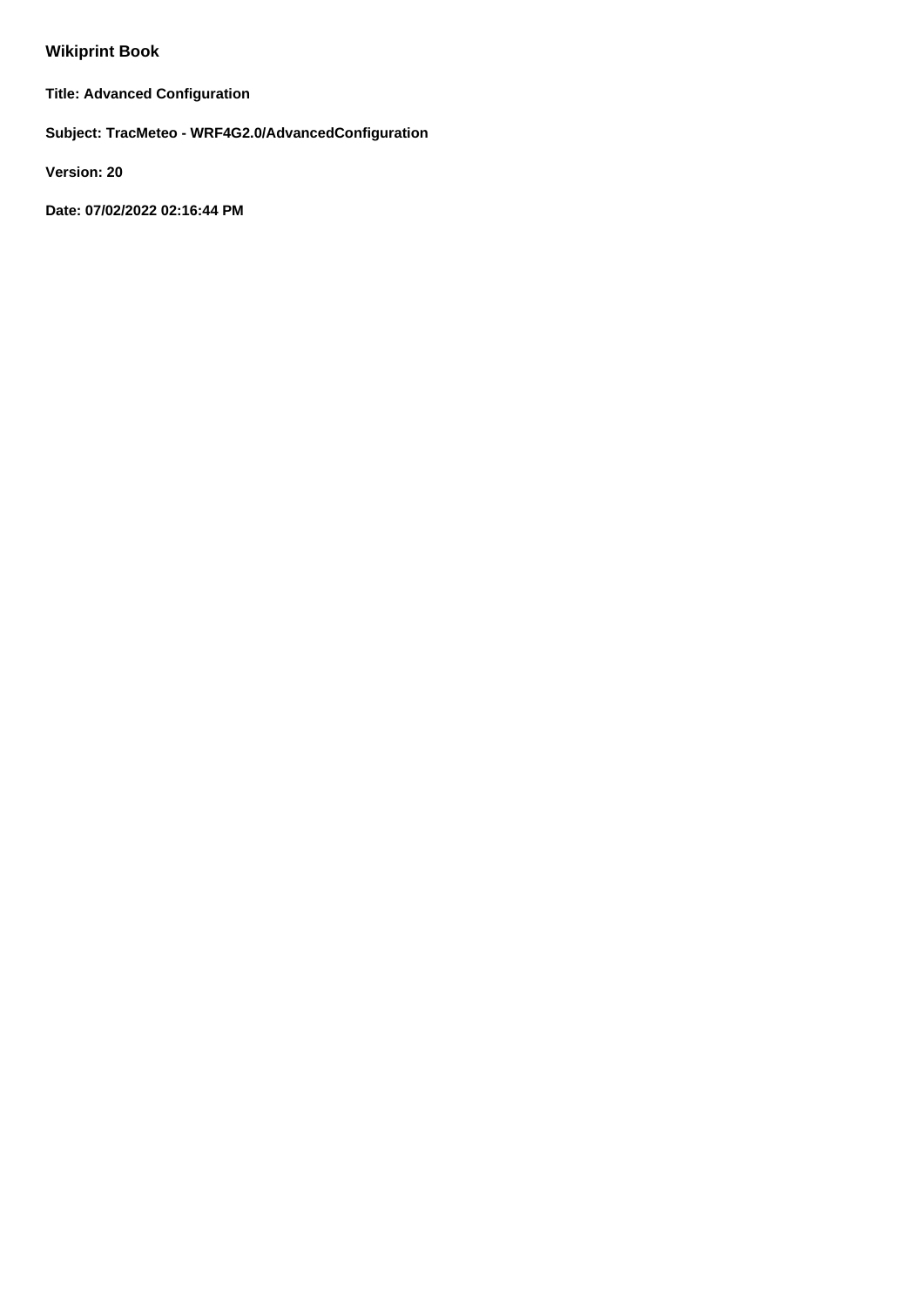# **Wikiprint Book**

**Title: Advanced Configuration**

**Subject: TracMeteo - WRF4G2.0/AdvancedConfiguration**

**Version: 20**

**Date: 07/02/2022 02:16:44 PM**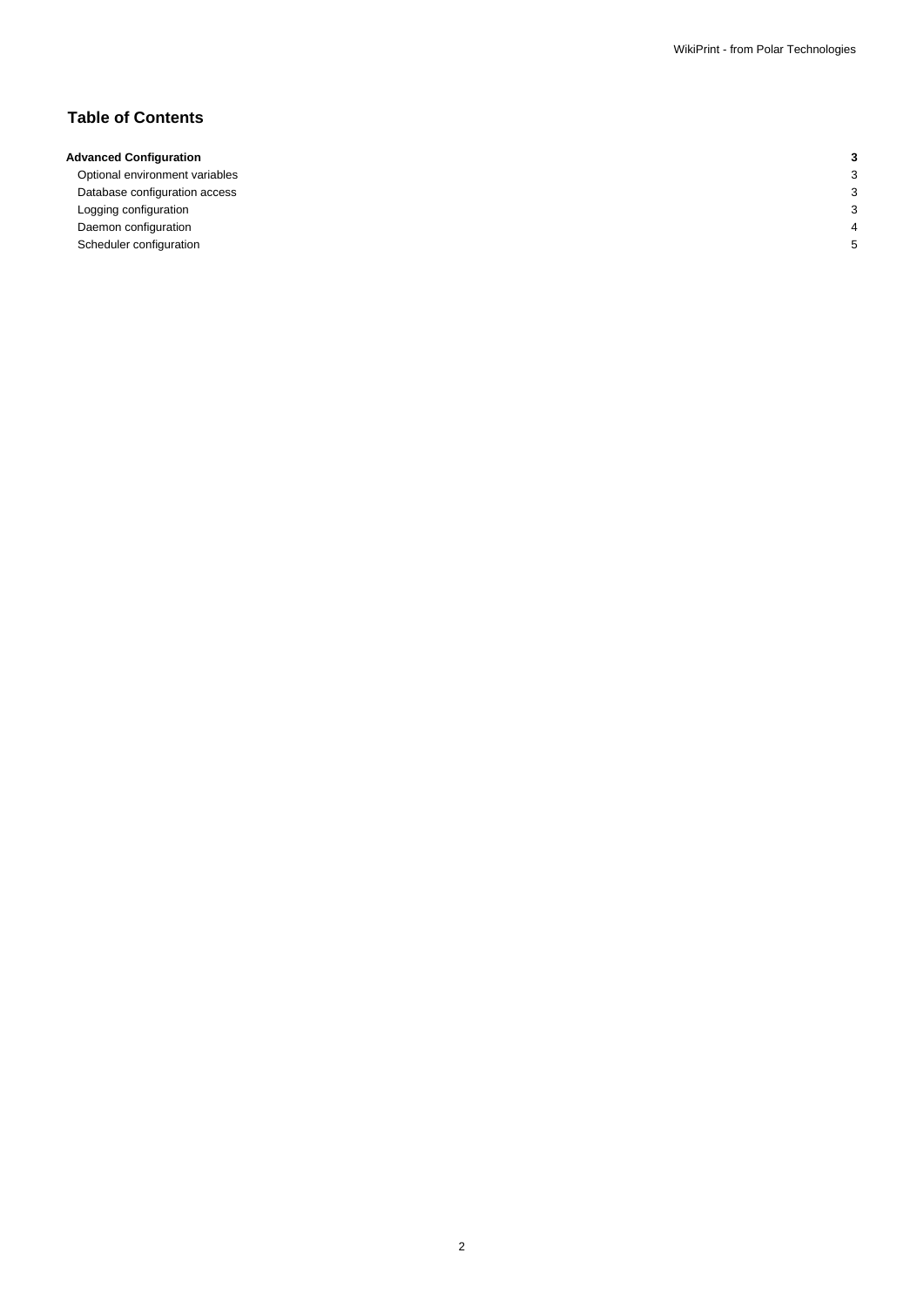## **Table of Contents**

## **Advanced Configuration 3**

Optional environment variables 3 Database configuration access 3 Logging configuration 3 Daemon configuration 4 Scheduler configuration 5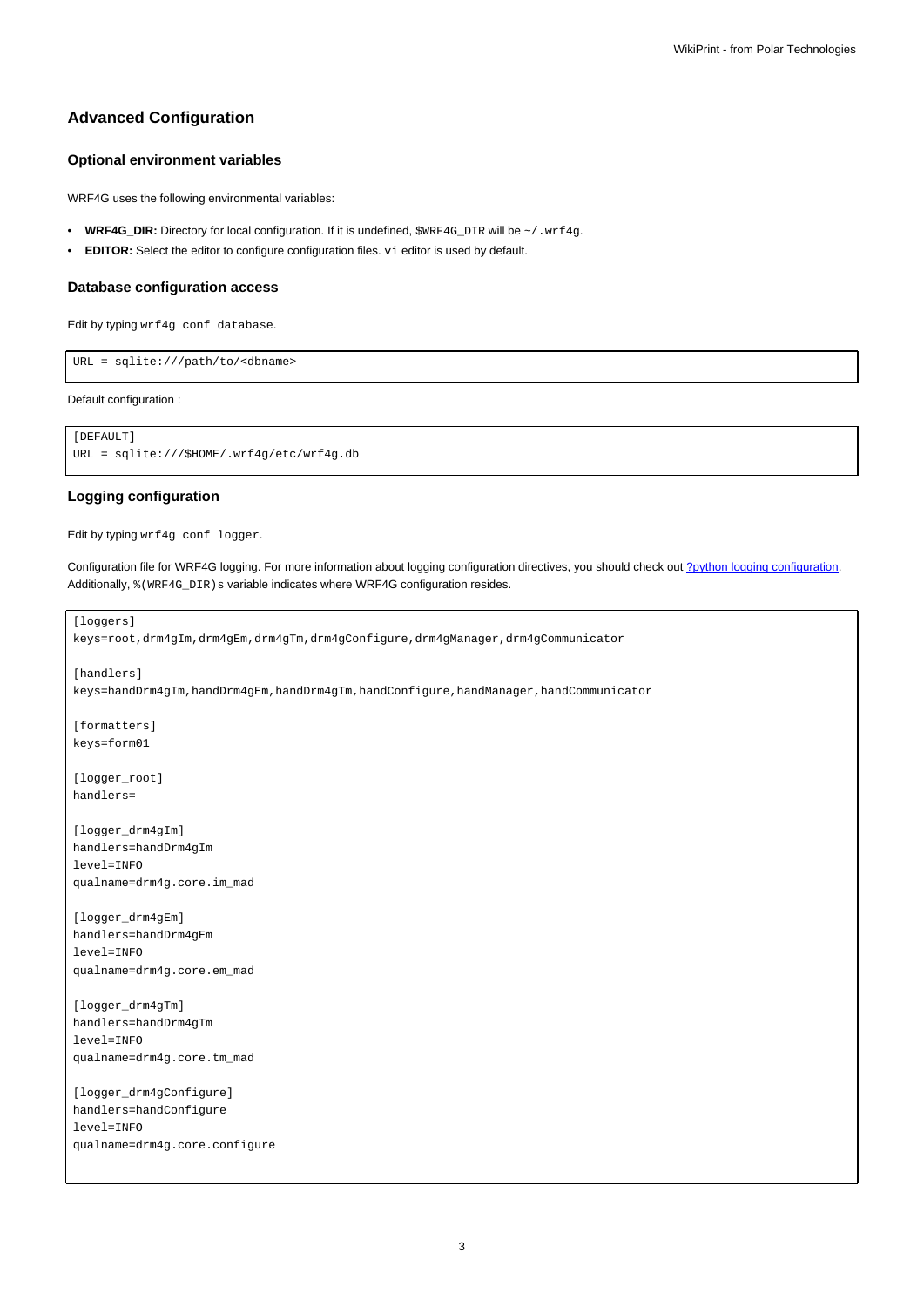## **Advanced Configuration**

## **Optional environment variables**

WRF4G uses the following environmental variables:

- WRF4G\_DIR: Directory for local configuration. If it is undefined, \$WRF4G\_DIR will be ~/.wrf4g.
- **EDITOR:** Select the editor to configure configuration files. vi editor is used by default.

#### **Database configuration access**

Edit by typing wrf4g conf database.

URL = sqlite:///path/to/<dbname>

Default configuration :

```
[DEFAULT]
URL = sqlite:///$HOME/.wrf4g/etc/wrf4g.db
```
### **Logging configuration**

Edit by typing wrf4g conf logger.

Configuration file for WRF4G logging. For more information about logging configuration directives, you should check out [?python logging configuration](http://docs.python.org/2/library/logging.config.html). Additionally,  $%$  (WRF4G\_DIR)s variable indicates where WRF4G configuration resides.

```
[loggers]
keys=root,drm4gIm,drm4gEm,drm4gTm,drm4gConfigure,drm4gManager,drm4gCommunicator
[handlers]
keys=handDrm4gIm,handDrm4gEm,handDrm4gTm,handConfigure,handManager,handCommunicator
[formatters]
keys=form01
[logger_root]
handlers=
[logger_drm4gIm]
handlers=handDrm4gIm
level=INFO
qualname=drm4g.core.im_mad
[logger_drm4gEm]
handlers=handDrm4gEm
level=INFO
qualname=drm4g.core.em_mad
[logger_drm4gTm]
handlers=handDrm4gTm
level=INFO
qualname=drm4g.core.tm_mad
[logger_drm4gConfigure]
handlers=handConfigure
level=INFO
qualname=drm4g.core.configure
```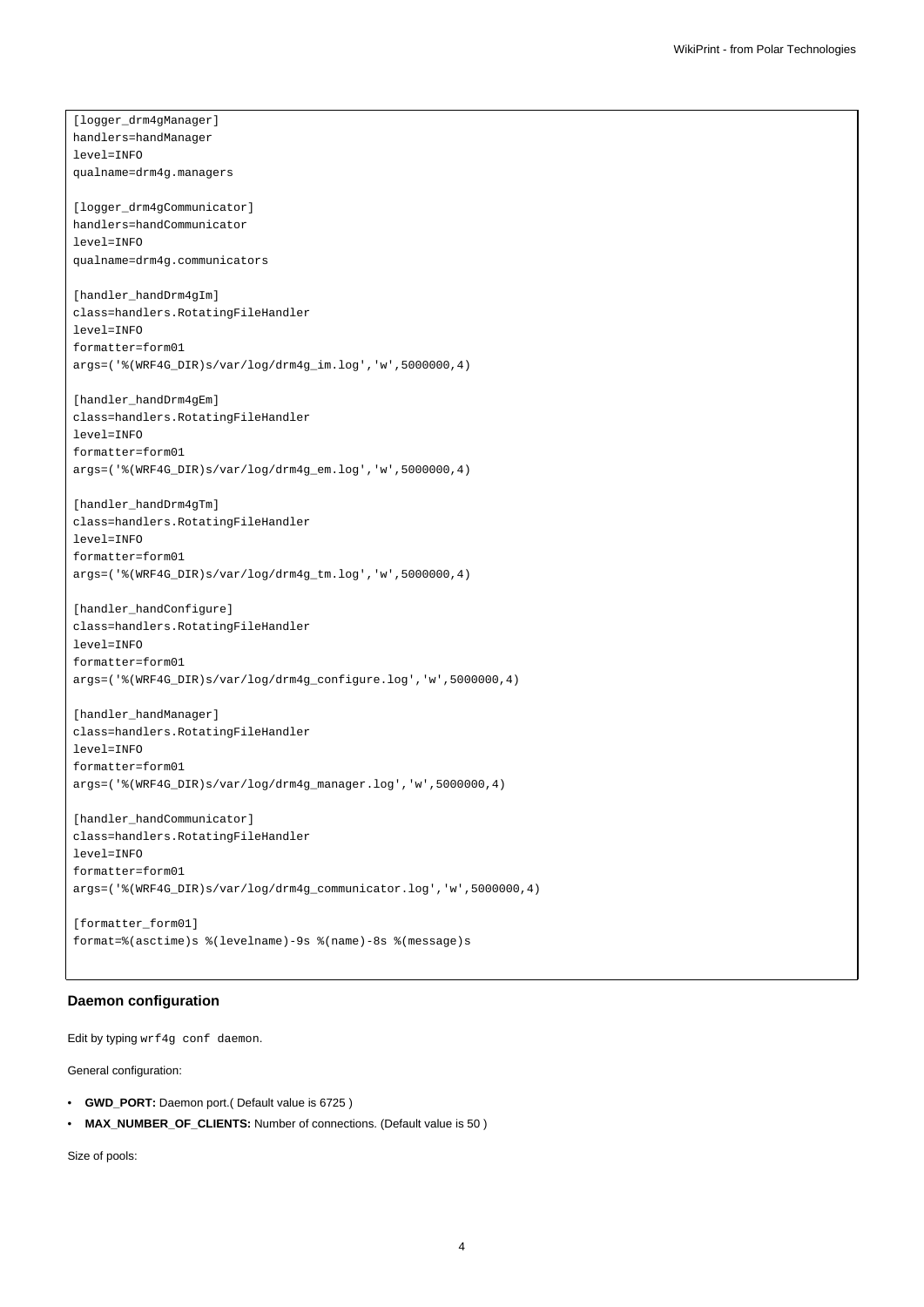[logger\_drm4gManager] handlers=handManager level=INFO qualname=drm4g.managers [logger\_drm4gCommunicator] handlers=handCommunicator level=INFO qualname=drm4g.communicators [handler\_handDrm4gIm] class=handlers.RotatingFileHandler level=INFO formatter=form01 args=('%(WRF4G\_DIR)s/var/log/drm4g\_im.log','w',5000000,4) [handler\_handDrm4gEm] class=handlers.RotatingFileHandler level=INFO formatter=form01 args=('%(WRF4G\_DIR)s/var/log/drm4g\_em.log','w',5000000,4) [handler\_handDrm4gTm] class=handlers.RotatingFileHandler level=INFO formatter=form01 args=('%(WRF4G\_DIR)s/var/log/drm4g\_tm.log','w',5000000,4) [handler\_handConfigure] class=handlers.RotatingFileHandler level=INFO formatter=form01 args=('%(WRF4G\_DIR)s/var/log/drm4g\_configure.log','w',5000000,4) [handler\_handManager] class=handlers.RotatingFileHandler level=INFO formatter=form01 args=('%(WRF4G\_DIR)s/var/log/drm4g\_manager.log','w',5000000,4) [handler\_handCommunicator] class=handlers.RotatingFileHandler level=INFO formatter=form01 args=('%(WRF4G\_DIR)s/var/log/drm4g\_communicator.log','w',5000000,4)

```
[formatter_form01]
format=%(asctime)s %(levelname)-9s %(name)-8s %(message)s
```
## **Daemon configuration**

Edit by typing wrf4g conf daemon.

General configuration:

- **GWD\_PORT:** Daemon port.( Default value is 6725 )
- **MAX\_NUMBER\_OF\_CLIENTS:** Number of connections. (Default value is 50 )

Size of pools: